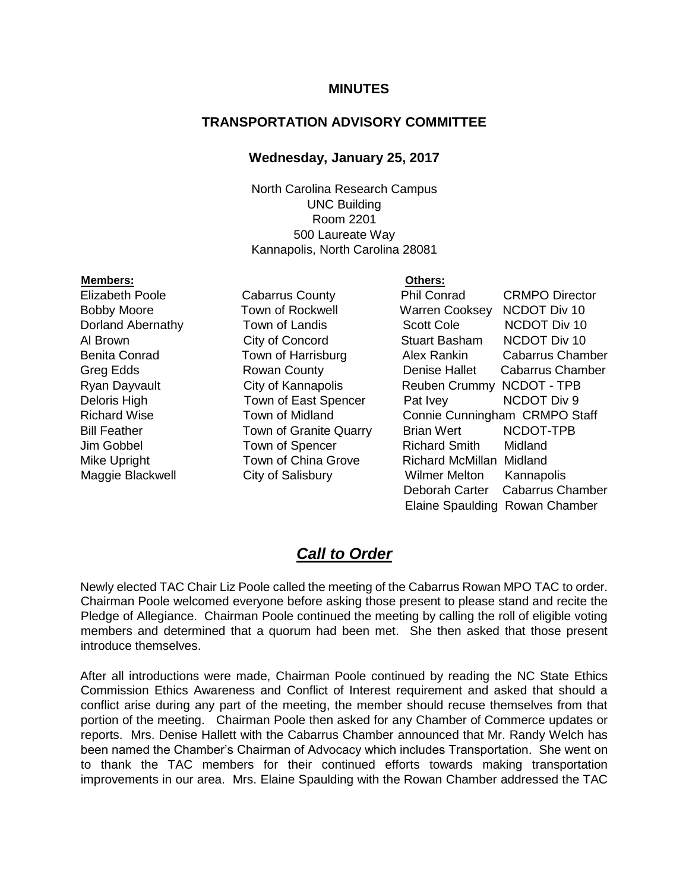#### **MINUTES**

### **TRANSPORTATION ADVISORY COMMITTEE**

#### **Wednesday, January 25, 2017**

North Carolina Research Campus UNC Building Room 2201 500 Laureate Way Kannapolis, North Carolina 28081

#### **Members: Others:**

Elizabeth Poole Cabarrus County Phil Conrad CRMPO Director Bobby Moore **Town of Rockwell** Warren Cooksey NCDOT Div 10 Dorland Abernathy Town of Landis Scott Cole NCDOT Div 10 Al Brown City of Concord Stuart Basham NCDOT Div 10 Benita Conrad **Town of Harrisburg** Alex Rankin Cabarrus Chamber Greg Edds **Rowan County** Denise Hallet Cabarrus Chamber Ryan Dayvault **City of Kannapolis** Reuben Crummy NCDOT - TPB Deloris High Town of East Spencer Pat Ivey NCDOT Div 9 Richard Wise **Town of Midland** Connie Cunningham CRMPO Staff Bill Feather Town of Granite Quarry Brian Wert NCDOT-TPB Jim Gobbel Town of Spencer Richard Smith Midland Mike Upright Town of China Grove Richard McMillan Midland Maggie Blackwell City of Salisbury Wilmer Melton Kannapolis Deborah Carter Cabarrus Chamber Elaine Spaulding Rowan Chamber

## *Call to Order*

Newly elected TAC Chair Liz Poole called the meeting of the Cabarrus Rowan MPO TAC to order. Chairman Poole welcomed everyone before asking those present to please stand and recite the Pledge of Allegiance. Chairman Poole continued the meeting by calling the roll of eligible voting members and determined that a quorum had been met. She then asked that those present introduce themselves.

After all introductions were made, Chairman Poole continued by reading the NC State Ethics Commission Ethics Awareness and Conflict of Interest requirement and asked that should a conflict arise during any part of the meeting, the member should recuse themselves from that portion of the meeting. Chairman Poole then asked for any Chamber of Commerce updates or reports. Mrs. Denise Hallett with the Cabarrus Chamber announced that Mr. Randy Welch has been named the Chamber's Chairman of Advocacy which includes Transportation. She went on to thank the TAC members for their continued efforts towards making transportation improvements in our area. Mrs. Elaine Spaulding with the Rowan Chamber addressed the TAC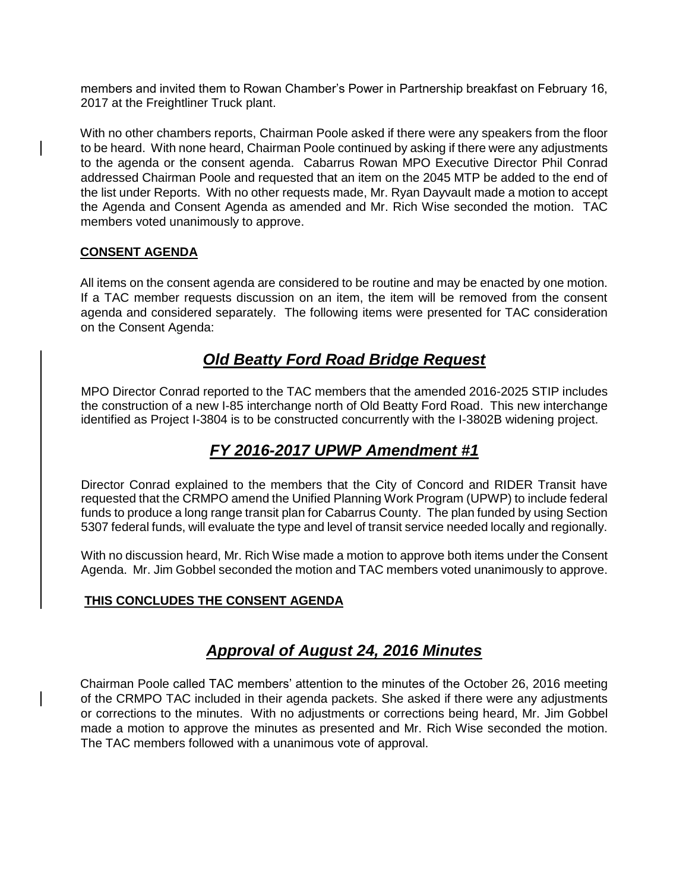members and invited them to Rowan Chamber's Power in Partnership breakfast on February 16, 2017 at the Freightliner Truck plant.

With no other chambers reports, Chairman Poole asked if there were any speakers from the floor to be heard. With none heard, Chairman Poole continued by asking if there were any adjustments to the agenda or the consent agenda. Cabarrus Rowan MPO Executive Director Phil Conrad addressed Chairman Poole and requested that an item on the 2045 MTP be added to the end of the list under Reports. With no other requests made, Mr. Ryan Dayvault made a motion to accept the Agenda and Consent Agenda as amended and Mr. Rich Wise seconded the motion. TAC members voted unanimously to approve.

## **CONSENT AGENDA**

All items on the consent agenda are considered to be routine and may be enacted by one motion. If a TAC member requests discussion on an item, the item will be removed from the consent agenda and considered separately. The following items were presented for TAC consideration on the Consent Agenda:

# *Old Beatty Ford Road Bridge Request*

MPO Director Conrad reported to the TAC members that the amended 2016-2025 STIP includes the construction of a new I-85 interchange north of Old Beatty Ford Road. This new interchange identified as Project I-3804 is to be constructed concurrently with the I-3802B widening project.

# *FY 2016-2017 UPWP Amendment #1*

Director Conrad explained to the members that the City of Concord and RIDER Transit have requested that the CRMPO amend the Unified Planning Work Program (UPWP) to include federal funds to produce a long range transit plan for Cabarrus County. The plan funded by using Section 5307 federal funds, will evaluate the type and level of transit service needed locally and regionally.

With no discussion heard, Mr. Rich Wise made a motion to approve both items under the Consent Agenda. Mr. Jim Gobbel seconded the motion and TAC members voted unanimously to approve.

## **THIS CONCLUDES THE CONSENT AGENDA**

# *Approval of August 24, 2016 Minutes*

Chairman Poole called TAC members' attention to the minutes of the October 26, 2016 meeting of the CRMPO TAC included in their agenda packets. She asked if there were any adjustments or corrections to the minutes. With no adjustments or corrections being heard, Mr. Jim Gobbel made a motion to approve the minutes as presented and Mr. Rich Wise seconded the motion. The TAC members followed with a unanimous vote of approval.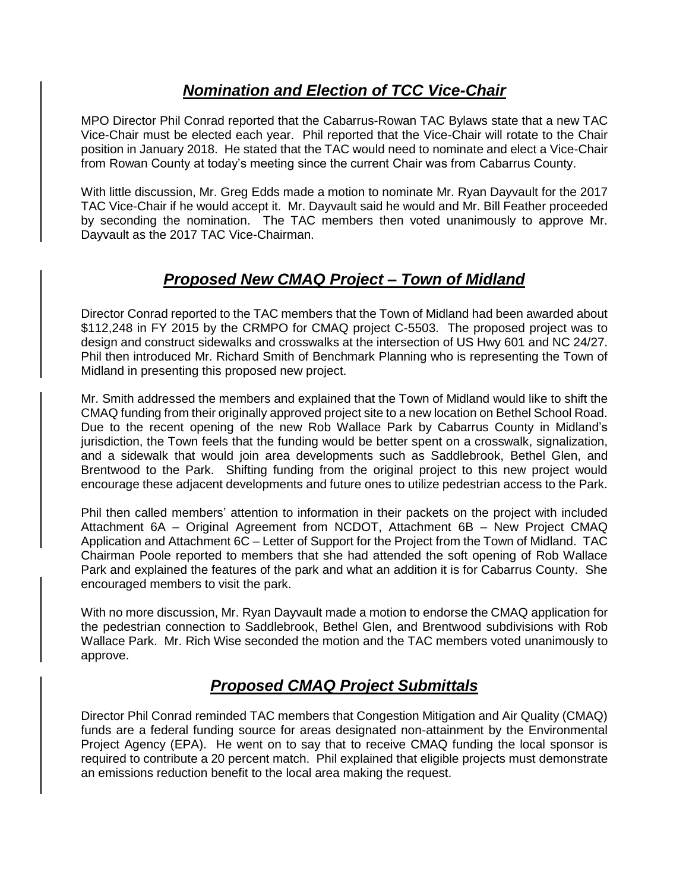# *Nomination and Election of TCC Vice-Chair*

MPO Director Phil Conrad reported that the Cabarrus-Rowan TAC Bylaws state that a new TAC Vice-Chair must be elected each year. Phil reported that the Vice-Chair will rotate to the Chair position in January 2018. He stated that the TAC would need to nominate and elect a Vice-Chair from Rowan County at today's meeting since the current Chair was from Cabarrus County.

With little discussion, Mr. Greg Edds made a motion to nominate Mr. Ryan Dayvault for the 2017 TAC Vice-Chair if he would accept it. Mr. Dayvault said he would and Mr. Bill Feather proceeded by seconding the nomination. The TAC members then voted unanimously to approve Mr. Dayvault as the 2017 TAC Vice-Chairman.

# *Proposed New CMAQ Project – Town of Midland*

Director Conrad reported to the TAC members that the Town of Midland had been awarded about \$112,248 in FY 2015 by the CRMPO for CMAQ project C-5503. The proposed project was to design and construct sidewalks and crosswalks at the intersection of US Hwy 601 and NC 24/27. Phil then introduced Mr. Richard Smith of Benchmark Planning who is representing the Town of Midland in presenting this proposed new project.

Mr. Smith addressed the members and explained that the Town of Midland would like to shift the CMAQ funding from their originally approved project site to a new location on Bethel School Road. Due to the recent opening of the new Rob Wallace Park by Cabarrus County in Midland's jurisdiction, the Town feels that the funding would be better spent on a crosswalk, signalization, and a sidewalk that would join area developments such as Saddlebrook, Bethel Glen, and Brentwood to the Park. Shifting funding from the original project to this new project would encourage these adjacent developments and future ones to utilize pedestrian access to the Park.

Phil then called members' attention to information in their packets on the project with included Attachment 6A – Original Agreement from NCDOT, Attachment 6B – New Project CMAQ Application and Attachment 6C – Letter of Support for the Project from the Town of Midland. TAC Chairman Poole reported to members that she had attended the soft opening of Rob Wallace Park and explained the features of the park and what an addition it is for Cabarrus County. She encouraged members to visit the park.

With no more discussion, Mr. Ryan Dayvault made a motion to endorse the CMAQ application for the pedestrian connection to Saddlebrook, Bethel Glen, and Brentwood subdivisions with Rob Wallace Park. Mr. Rich Wise seconded the motion and the TAC members voted unanimously to approve.

# *Proposed CMAQ Project Submittals*

Director Phil Conrad reminded TAC members that Congestion Mitigation and Air Quality (CMAQ) funds are a federal funding source for areas designated non-attainment by the Environmental Project Agency (EPA). He went on to say that to receive CMAQ funding the local sponsor is required to contribute a 20 percent match. Phil explained that eligible projects must demonstrate an emissions reduction benefit to the local area making the request.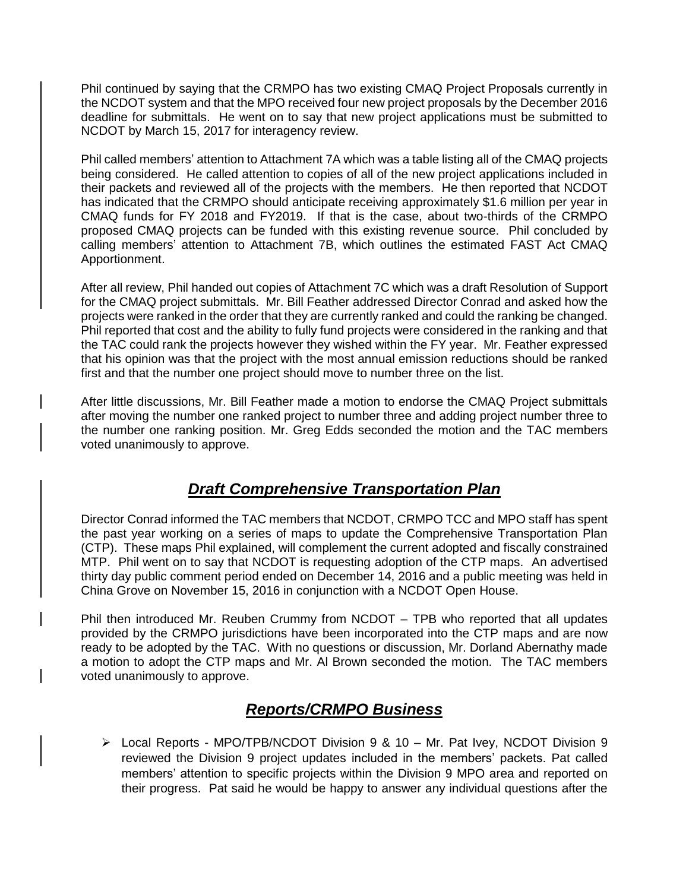Phil continued by saying that the CRMPO has two existing CMAQ Project Proposals currently in the NCDOT system and that the MPO received four new project proposals by the December 2016 deadline for submittals. He went on to say that new project applications must be submitted to NCDOT by March 15, 2017 for interagency review.

Phil called members' attention to Attachment 7A which was a table listing all of the CMAQ projects being considered. He called attention to copies of all of the new project applications included in their packets and reviewed all of the projects with the members. He then reported that NCDOT has indicated that the CRMPO should anticipate receiving approximately \$1.6 million per year in CMAQ funds for FY 2018 and FY2019. If that is the case, about two-thirds of the CRMPO proposed CMAQ projects can be funded with this existing revenue source. Phil concluded by calling members' attention to Attachment 7B, which outlines the estimated FAST Act CMAQ Apportionment.

After all review, Phil handed out copies of Attachment 7C which was a draft Resolution of Support for the CMAQ project submittals. Mr. Bill Feather addressed Director Conrad and asked how the projects were ranked in the order that they are currently ranked and could the ranking be changed. Phil reported that cost and the ability to fully fund projects were considered in the ranking and that the TAC could rank the projects however they wished within the FY year. Mr. Feather expressed that his opinion was that the project with the most annual emission reductions should be ranked first and that the number one project should move to number three on the list.

After little discussions, Mr. Bill Feather made a motion to endorse the CMAQ Project submittals after moving the number one ranked project to number three and adding project number three to the number one ranking position. Mr. Greg Edds seconded the motion and the TAC members voted unanimously to approve.

# *Draft Comprehensive Transportation Plan*

Director Conrad informed the TAC members that NCDOT, CRMPO TCC and MPO staff has spent the past year working on a series of maps to update the Comprehensive Transportation Plan (CTP). These maps Phil explained, will complement the current adopted and fiscally constrained MTP. Phil went on to say that NCDOT is requesting adoption of the CTP maps. An advertised thirty day public comment period ended on December 14, 2016 and a public meeting was held in China Grove on November 15, 2016 in conjunction with a NCDOT Open House.

Phil then introduced Mr. Reuben Crummy from NCDOT – TPB who reported that all updates provided by the CRMPO jurisdictions have been incorporated into the CTP maps and are now ready to be adopted by the TAC. With no questions or discussion, Mr. Dorland Abernathy made a motion to adopt the CTP maps and Mr. Al Brown seconded the motion. The TAC members voted unanimously to approve.

# *Reports/CRMPO Business*

 Local Reports - MPO/TPB/NCDOT Division 9 & 10 – Mr. Pat Ivey, NCDOT Division 9 reviewed the Division 9 project updates included in the members' packets. Pat called members' attention to specific projects within the Division 9 MPO area and reported on their progress. Pat said he would be happy to answer any individual questions after the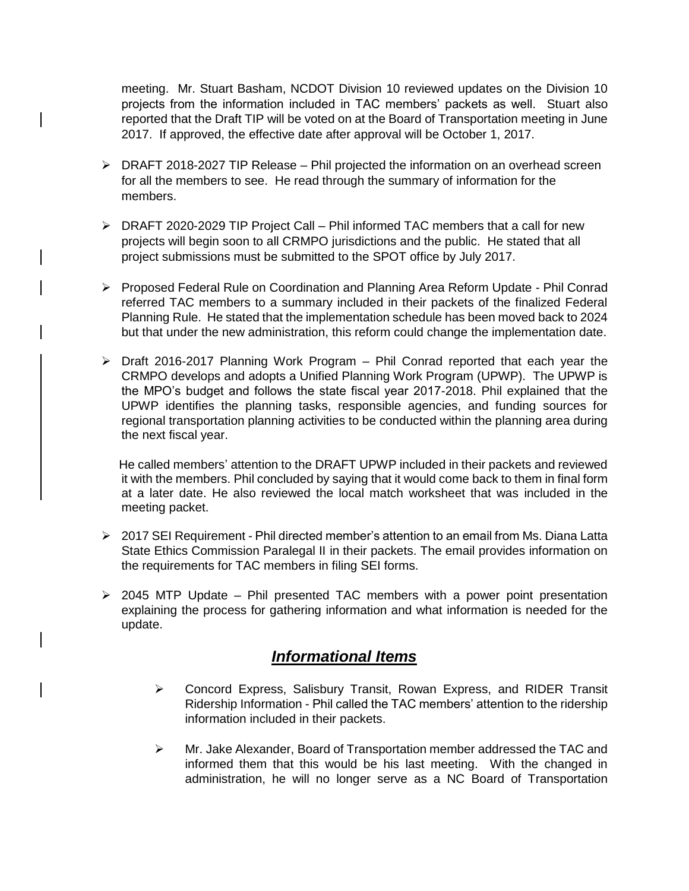meeting. Mr. Stuart Basham, NCDOT Division 10 reviewed updates on the Division 10 projects from the information included in TAC members' packets as well. Stuart also reported that the Draft TIP will be voted on at the Board of Transportation meeting in June 2017. If approved, the effective date after approval will be October 1, 2017.

- $\triangleright$  DRAFT 2018-2027 TIP Release Phil projected the information on an overhead screen for all the members to see. He read through the summary of information for the members.
- DRAFT 2020-2029 TIP Project Call Phil informed TAC members that a call for new projects will begin soon to all CRMPO jurisdictions and the public. He stated that all project submissions must be submitted to the SPOT office by July 2017.
- Proposed Federal Rule on Coordination and Planning Area Reform Update Phil Conrad referred TAC members to a summary included in their packets of the finalized Federal Planning Rule. He stated that the implementation schedule has been moved back to 2024 but that under the new administration, this reform could change the implementation date.
- $\triangleright$  Draft 2016-2017 Planning Work Program Phil Conrad reported that each year the CRMPO develops and adopts a Unified Planning Work Program (UPWP). The UPWP is the MPO's budget and follows the state fiscal year 2017-2018. Phil explained that the UPWP identifies the planning tasks, responsible agencies, and funding sources for regional transportation planning activities to be conducted within the planning area during the next fiscal year.

 He called members' attention to the DRAFT UPWP included in their packets and reviewed it with the members. Phil concluded by saying that it would come back to them in final form at a later date. He also reviewed the local match worksheet that was included in the meeting packet.

- $\geq 2017$  SEI Requirement Phil directed member's attention to an email from Ms. Diana Latta State Ethics Commission Paralegal II in their packets. The email provides information on the requirements for TAC members in filing SEI forms.
- $\geq$  2045 MTP Update Phil presented TAC members with a power point presentation explaining the process for gathering information and what information is needed for the update.

## *Informational Items*

- Concord Express, Salisbury Transit, Rowan Express, and RIDER Transit Ridership Information - Phil called the TAC members' attention to the ridership information included in their packets.
- $\triangleright$  Mr. Jake Alexander, Board of Transportation member addressed the TAC and informed them that this would be his last meeting. With the changed in administration, he will no longer serve as a NC Board of Transportation